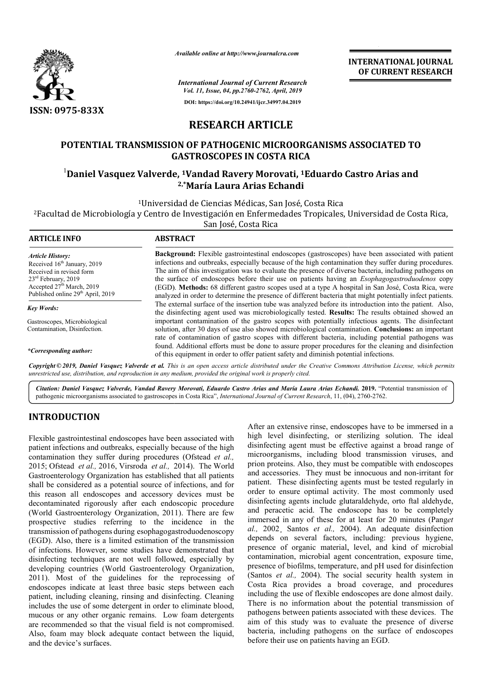

*Available online at http://www.journalcra.com*

**INTERNATIONAL JOURNAL OF CURRENT RESEARCH**

*International Journal of Current Research Vol. 11, Issue, 04, pp.2760-2762, April, 2019* **DOI: https://doi.org/10.24941/ijcr.34997.04.2019**

## **RESEARCH ARTICLE**

## **POTENTIAL TRANSMISSION OF PATHOGENIC MICROORGANISMS ASSOCIATED TO GASTROSCOPES IN COSTA RICA** POTENTIAL TRANSMISSION OF PATHOGENIC MICROORGANISMS ASSOCIATED TO<br>GASTROSCOPES IN COSTA RICA<br><sup>1</sup>Daniel Vasquez Valverde, <sup>1</sup>Vandad Ravery Morovati, <sup>1</sup>Eduardo Castro Arias and

# **2,\*María Laura Arias Echandi**

<sup>1</sup>Universidad de Ciencias Médicas, San José, Costa Rica

<sup>2</sup>Facultad de Microbiología y Centro de Investigación en Enfermedades Tropicales, Universidad de Costa Rica,<br>San José, Costa Rica

| <b>ARTICLE INFO</b>                                                                                                                                                                                               | <b>ABSTRACT</b>                                                                                                                                                                                                                                                                                                                                                                                                                                                                                                                                                                                                                                       |
|-------------------------------------------------------------------------------------------------------------------------------------------------------------------------------------------------------------------|-------------------------------------------------------------------------------------------------------------------------------------------------------------------------------------------------------------------------------------------------------------------------------------------------------------------------------------------------------------------------------------------------------------------------------------------------------------------------------------------------------------------------------------------------------------------------------------------------------------------------------------------------------|
| <b>Article History:</b><br>Received 16 <sup>th</sup> January, 2019<br>Received in revised form<br>$23rd$ February, 2019<br>Accepted 27 <sup>th</sup> March, 2019<br>Published online 29 <sup>th</sup> April, 2019 | <b>Background:</b> Flexible gastrointestinal endoscopes (gastroscopes) have been associated with patient<br>infections and outbreaks, especially because of the high contamination they suffer during procedures.<br>The aim of this investigation was to evaluate the presence of diverse bacteria, including pathogens on<br>the surface of endoscopes before their use on patients having an <i>Esophagogastroduodenos</i> copy<br>(EGD). Methods: 68 different gastro scopes used at a type A hospital in San José, Costa Rica, were<br>analyzed in order to determine the presence of different bacteria that might potentially infect patients. |
| Key Words:                                                                                                                                                                                                        | The external surface of the insertion tube was analyzed before its introduction into the patient. Also,                                                                                                                                                                                                                                                                                                                                                                                                                                                                                                                                               |
| Gastroscopes, Microbiological<br>Contamination, Disinfection.                                                                                                                                                     | the disinfecting agent used was microbiologically tested. Results: The results obtained showed an<br>important contamination of the gastro scopes with potentially infectious agents. The disinfectant<br>solution, after 30 days of use also showed microbiological contamination. Conclusions: an important<br>rate of contamination of gastro scopes with different bacteria, including potential pathogens was                                                                                                                                                                                                                                    |
| *Corresponding author:                                                                                                                                                                                            | found. Additional efforts must be done to assure proper procedures for the cleaning and disinfection<br>of this equipment in order to offer patient safety and diminish potential infections.                                                                                                                                                                                                                                                                                                                                                                                                                                                         |

Copyright © 2019, Daniel Vasquez Valverde et al. This is an open access article distributed under the Creative Commons Attribution License, which permits *unrestricted use, distribution, and reproduction in any medium, provided the original work is properly cited.*

Citation: Daniel Vasquez Valverde, Vandad Ravery Morovati, Eduardo Castro Arias and María Laura Arias Echandi. 2019. "Potential transmission of pathogenic microorganisms associated to gastroscopes in Costa Rica", *International Journal of Current Research*, 11, (04), 2760-2762.

## **INTRODUCTION**

Flexible gastrointestinal endoscopes have been associated with patient infections and outbreaks, especially because of the high contamination they suffer during procedures (Ofstead *et al.,*  2015; Ofstead *et al.,* 2016, Virsroda *et al.,* 2014). The World Gastroenterology Organization has established that all patients shall be considered as a potential source of infections, and for this reason all endoscopes and accessory devices must be decontaminated rigorously after each endoscopic procedure (World Gastroenterology Organization, 2011) 2011). There are few prospective studies referring to the incidence in the transmission of pathogens during esophagogastroduodenoscopy (EGD). Also, there is a limited estimation of the transmission of infections. However, some studies have demonstrated that disinfecting techniques are not well followed, especially by developing countries (World Gastroenterology Organization, 2011). Most of the guidelines for the reprocessing of endoscopes indicate at least three basic steps between each patient, including cleaning, rinsing and disinfecting. Cleaning includes the use of some detergent in order to eliminate blood, mucous or any other organic remains. Low foam detergents are recommended so that the visual field is not compromised. Also, foam may block adequate contact between the liquid, and the device's surfaces.

After an extensive rinse, endoscopes have to be immersed in a high level disinfecting, or sterilizing solution. The ideal disinfecting agent must be effective against a broad range of microorganisms, including blood transmission viruses, and prion proteins. Also, they must be compatible with endoscopes After an extensive rinse, endoscopes have to be immersed in a high level disinfecting, or sterilizing solution. The ideal disinfecting agent must be effective against a broad range of microorganisms, including blood transm patient. These disinfecting agents must be tested regularly in order to ensure optimal activity. The most commonly used disinfecting agents include glutaraldehyde, orto ftal aldehyde, and peracetic acid. The endoscope has to be completely immersed in any of these for at least for 20 minutes (Panget *al.,* 2002¸ Santos *et al.,* 2004). An adequate disinfection depends on several factors, including: previous hygiene, presence of organic material, level, and kind of microbial contamination, microbial agent concentration, exposure time, presence of biofilms, temperature, and pH used for disinfection (Santos *et al.,* 2004). The social security health system in Costa Rica provides a broad coverage, and procedures including the use of flexible endoscopes are done almost daily. There is no information about the potential transmission of pathogens between patients associated with these devices. The aim of this study was to evaluate the presence of diverse aim of this study was to evaluate the presence of diverse<br>bacteria, including pathogens on the surface of endoscopes before their use on patients having an EGD. to ensure optimal activity. The most commonly used fecting agents include glutaraldehyde, orto ftal aldehyde, peracetic acid. The endoscope has to be completely rrsed in any of these for at least for 20 minutes (Pang*et* presence of organic material, level, and kind of microbial contamination, microbial agent concentration, exposure time, presence of biofilms, temperature, and pH used for disinfection (Santos *et al.*, 2004). The social se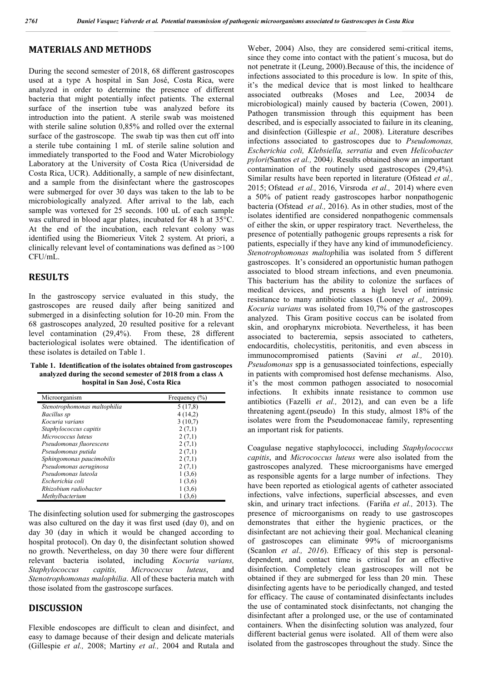### **MATERIALS AND METHODS**

During the second semester of 2018, 68 different gastroscopes used at a type A hospital in San José, Costa Rica, were analyzed in order to determine the presence of different bacteria that might potentially infect patients. The external surface of the insertion tube was analyzed before its introduction into the patient. A sterile swab was moistened with sterile saline solution 0,85% and rolled over the external surface of the gastroscope. The swab tip was then cut off into a sterile tube containing 1 mL of sterile saline solution and immediately transported to the Food and Water Microbiology Laboratory at the University of Costa Rica (Universidad de Costa Rica, UCR). Additionally, a sample of new disinfectant, and a sample from the disinfectant where the gastroscopes were submerged for over 30 days was taken to the lab to be microbiologically analyzed. After arrival to the lab, each sample was vortexed for 25 seconds. 100 uL of each sample was cultured in blood agar plates, incubated for 48 h at 35°C. At the end of the incubation, each relevant colony was identified using the Biomerieux Vitek 2 system. At priori, a clinically relevant level of contaminations was defined as >100 CFU/mL.

#### **RESULTS**

In the gastroscopy service evaluated in this study, the gastroscopes are reused daily after being sanitized and submerged in a disinfecting solution for 10-20 min. From the 68 gastroscopes analyzed, 20 resulted positive for a relevant level contamination (29,4%). From these, 28 different bacteriological isolates were obtained. The identification of these isolates is detailed on Table 1.

**Table 1. Identification of the isolates obtained from gastroscopes analyzed during the second semester of 2018 from a class A hospital in San José, Costa Rica**

| Microorganism                | Frequency $(\% )$ |  |
|------------------------------|-------------------|--|
| Stenotrophomonas maltophilia | 5(17,8)           |  |
| Bacillus sp                  | 4(14,2)           |  |
| Kocuria varians              | 3(10,7)           |  |
| Staphylococcus capitis       | 2(7,1)            |  |
| Micrococcus luteus           | 2(7,1)            |  |
| Pseudomonas fluorescens      | 2(7,1)            |  |
| Pseudomonas putida           | 2(7,1)            |  |
| Sphingomonas paucimobilis    | 2(7,1)            |  |
| Pseudomonas aeruginosa       | 2(7,1)            |  |
| Pseudomonas luteola          | 1(3,6)            |  |
| Escherichia coli             | 1(3,6)            |  |
| Rhizobium radiobacter        | 1(3,6)            |  |
| Methylbacterium              | (3,6)             |  |

The disinfecting solution used for submerging the gastroscopes was also cultured on the day it was first used (day 0), and on day 30 (day in which it would be changed according to hospital protocol). On day 0, the disinfectant solution showed no growth. Nevertheless, on day 30 there were four different relevant bacteria isolated, including *Kocuria varians, Staphylococcus capitis, Micrococcus luteus*, and *Stenotrophomonas malophilia*. All of these bacteria match with those isolated from the gastroscope surfaces.

#### **DISCUSSION**

Flexible endoscopes are difficult to clean and disinfect, and easy to damage because of their design and delicate materials (Gillespie *et al.,* 2008; Martiny *et al.,* 2004 and Rutala and Weber, 2004) Also, they are considered semi-critical items, since they come into contact with the patient´s mucosa, but do not penetrate it (Leung, 2000).Because of this, the incidence of infections associated to this procedure is low. In spite of this, it's the medical device that is most linked to healthcare associated outbreaks (Moses and Lee, 20034 de microbiological) mainly caused by bacteria (Cowen, 2001). Pathogen transmission through this equipment has been described, and is especially associated to failure in its cleaning, and disinfection (Gillespie *et al.,* 2008). Literature describes infections associated to gastroscopes due to *Pseudomonas, Escherichia coli, Klebsiella, serratia* and even *Helicobacter pylori(*Santos *et al.,* 2004*).* Results obtained show an important contamination of the routinely used gastroscopes (29,4%). Similar results have been reported in literature (Ofstead *et al.,*  2015; Ofstead *et al.,* 2016, Virsroda *et al.,* 2014) where even a 50% of patient ready gastroscopes harbor nonpathogenic bacteria (Ofstead *et al.,* 2016). As in other studies, most of the isolates identified are considered nonpathogenic commensals of either the skin, or upper respiratory tract. Nevertheless, the presence of potentially pathogenic groups represents a risk for patients, especially if they have any kind of immunodeficiency. *Stenotrophomonas maltop*hilia was isolated from 5 different gastroscopes. It's considered an opportunistic human pathogen associated to blood stream infections, and even pneumonia. This bacterium has the ability to colonize the surfaces of medical devices, and presents a high level of intrinsic resistance to many antibiotic classes (Looney *et al.,* 2009). *Kocuria varians* was isolated from 10,7% of the gastroscopes analyzed. This Gram positive coccus can be isolated from skin, and oropharynx microbiota. Nevertheless, it has been associated to bacteremia, sepsis associated to catheters, endocarditis, cholecystitis, peritonitis, and even abscess in immunocompromised patients (Savini *et al.,* 2010). *Pseudomonas* spp is a genusassociated toinfections, especially in patients with compromised host defense mechanisms. Also, it's the most common pathogen associated to nosocomial infections. It exhibits innate resistance to common use antibiotics (Fazelli *et al.,* 2012), and can even be a life threatening agent.(pseudo) In this study, almost 18% of the isolates were from the Pseudomonaceae family, representing an important risk for patients.

Coagulase negative staphylococci, including *Staphylococcus capitis*, and *Micrococcus luteus* were also isolated from the gastroscopes analyzed. These microorganisms have emerged as responsible agents for a large number of infections. They have been reported as etiological agents of catheter associated infections, valve infections, superficial abscesses, and even skin, and urinary tract infections. (Fariña *et al.,* 2013). The presence of microorganisms on ready to use gastroscopes demonstrates that either the hygienic practices, or the disinfectant are not achieving their goal. Mechanical cleaning of gastroscopes can eliminate 99% of microorganisms (Scanlon *et al., 2016*). Efficacy of this step is personaldependent, and contact time is critical for an effective disinfection. Completely clean gastroscopes will not be obtained if they are submerged for less than 20 min. These disinfecting agents have to be periodically changed, and tested for efficacy. The cause of contaminated disinfectants includes the use of contaminated stock disinfectants, not changing the disinfectant after a prolonged use, or the use of contaminated containers. When the disinfecting solution was analyzed, four different bacterial genus were isolated. All of them were also isolated from the gastroscopes throughout the study. Since the